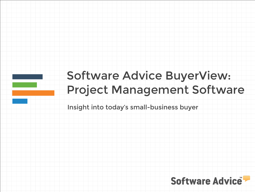# Software Advice BuyerView: Project Management Software

Insight into today's small-business buyer

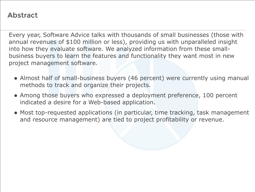#### Abstract

Every year, Software Advice talks with thousands of small businesses (those with annual revenues of \$100 million or less), providing us with unparalleled insight into how they evaluate software. We analyzed information from these smallbusiness buyers to learn the features and functionality they want most in new project management software.

- Almost half of small-business buyers (46 percent) were currently using manual methods to track and organize their projects.
- Among those buyers who expressed a deployment preference, 100 percent indicated a desire for a Web-based application.
- Most top-requested applications (in particular, time tracking, task management and resource management) are tied to project profitability or revenue.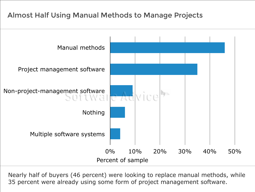# Almost Half Using Manual Methods to Manage Projects



Nearly half of buyers (46 percent) were looking to replace manual methods, while 35 percent were already using some form of project management software.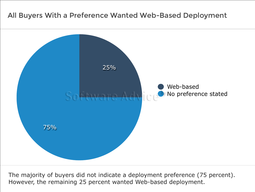#### All Buyers With a Preference Wanted Web-Based Deployment



The majority of buyers did not indicate a deployment preference (75 percent). However, the remaining 25 percent wanted Web-based deployment.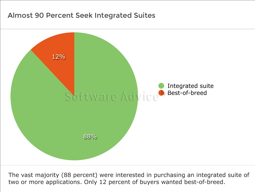#### Almost 90 Percent Seek Integrated Suites



The vast majority (88 percent) were interested in purchasing an integrated suite of two or more applications. Only 12 percent of buyers wanted best-of-breed.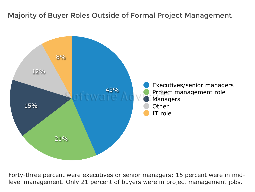

Forty-three percent were executives or senior managers; 15 percent were in midlevel management. Only 21 percent of buyers were in project management jobs.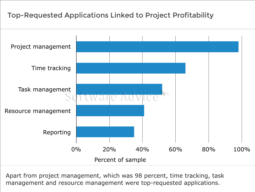# Top-Requested Applications Linked to Project Profitability



Apart from project management, which was 98 percent, time tracking, task management and resource management were top-requested applications.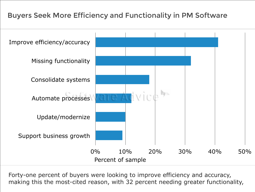# Buyers Seek More Efficiency and Functionality in PM Software



Forty-one percent of buyers were looking to improve efficiency and accuracy, making this the most-cited reason, with 32 percent needing greater functionality,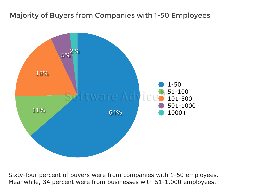### Majority of Buyers from Companies with 1-50 Employees



Sixty-four percent of buyers were from companies with 1-50 employees. Meanwhile, 34 percent were from businesses with 51-1,000 employees.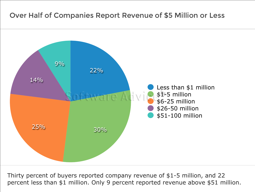

Thirty percent of buyers reported company revenue of \$1-5 million, and 22 percent less than \$1 million. Only 9 percent reported revenue above \$51 million.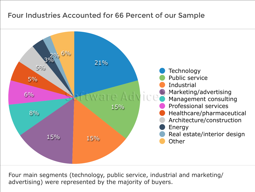#### Four Industries Accounted for 66 Percent of our Sample



Four main segments (technology, public service, industrial and marketing/ advertising) were represented by the majority of buyers.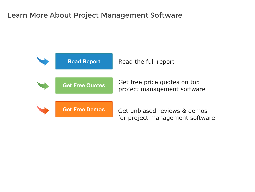